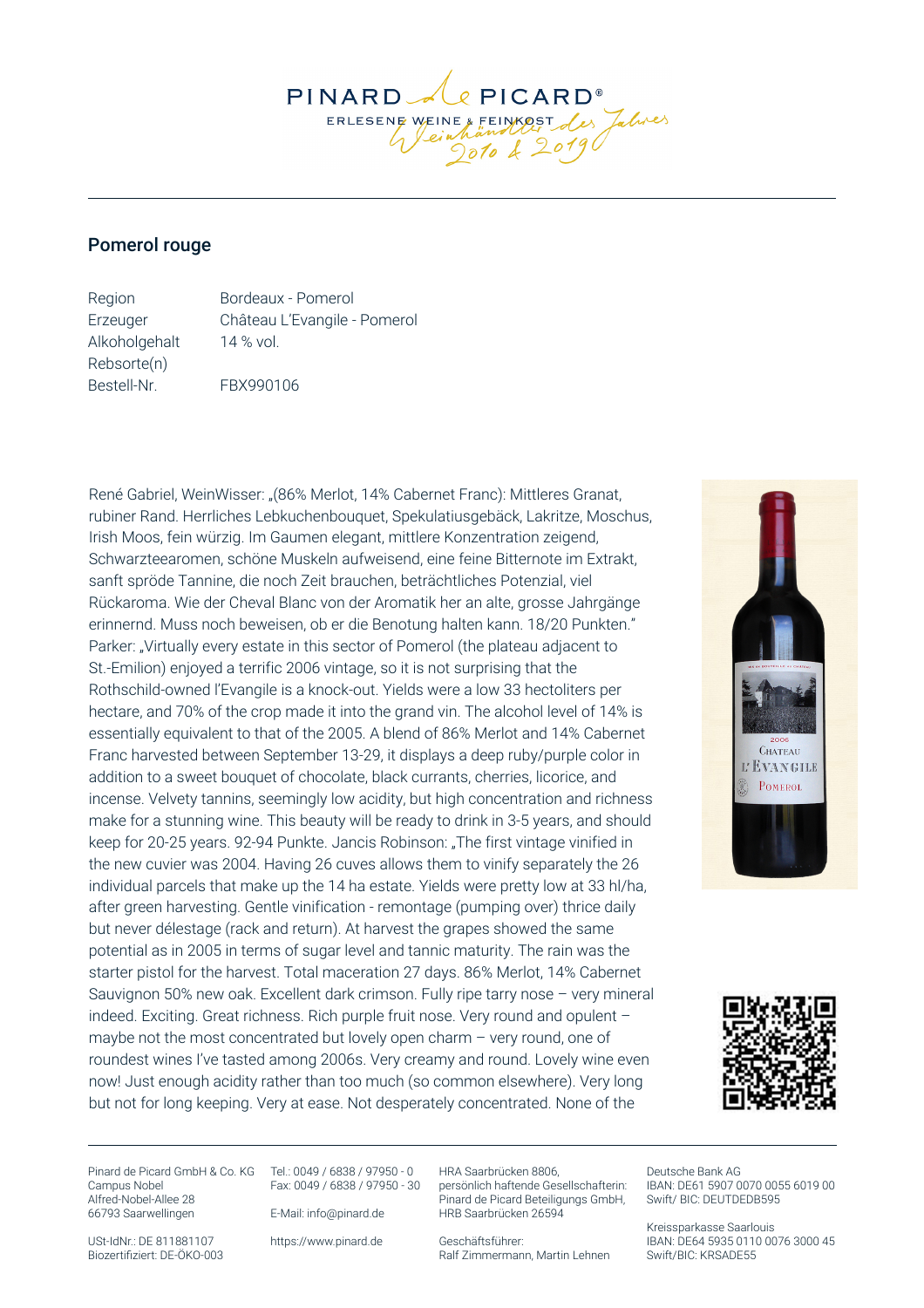PINARD  $Q$  PICARD<sup>®</sup> Les Jahres ERLESENE WEINE & FEINKOST

## Pomerol rouge

Region Bordeaux - Pomerol Erzeuger Château L'Evangile - Pomerol Alkoholgehalt 14 % vol. Rebsorte(n) Bestell-Nr. FBX990106

René Gabriel, WeinWisser: "(86% Merlot, 14% Cabernet Franc): Mittleres Granat, rubiner Rand. Herrliches Lebkuchenbouquet, Spekulatiusgebäck, Lakritze, Moschus, Irish Moos, fein würzig. Im Gaumen elegant, mittlere Konzentration zeigend, Schwarzteearomen, schöne Muskeln aufweisend, eine feine Bitternote im Extrakt, sanft spröde Tannine, die noch Zeit brauchen, beträchtliches Potenzial, viel Rückaroma. Wie der Cheval Blanc von der Aromatik her an alte, grosse Jahrgänge erinnernd. Muss noch beweisen, ob er die Benotung halten kann. 18/20 Punkten." Parker: "Virtually every estate in this sector of Pomerol (the plateau adjacent to St.-Emilion) enjoyed a terrific 2006 vintage, so it is not surprising that the Rothschild-owned l'Evangile is a knock-out. Yields were a low 33 hectoliters per hectare, and 70% of the crop made it into the grand vin. The alcohol level of 14% is essentially equivalent to that of the 2005. A blend of 86% Merlot and 14% Cabernet Franc harvested between September 13-29, it displays a deep ruby/purple color in addition to a sweet bouquet of chocolate, black currants, cherries, licorice, and incense. Velvety tannins, seemingly low acidity, but high concentration and richness make for a stunning wine. This beauty will be ready to drink in 3-5 years, and should keep for 20-25 years. 92-94 Punkte. Jancis Robinson: "The first vintage vinified in the new cuvier was 2004. Having 26 cuves allows them to vinify separately the 26 individual parcels that make up the 14 ha estate. Yields were pretty low at 33 hl/ha, after green harvesting. Gentle vinification - remontage (pumping over) thrice daily but never délestage (rack and return). At harvest the grapes showed the same potential as in 2005 in terms of sugar level and tannic maturity. The rain was the starter pistol for the harvest. Total maceration 27 days. 86% Merlot, 14% Cabernet Sauvignon 50% new oak. Excellent dark crimson. Fully ripe tarry nose – very mineral indeed. Exciting. Great richness. Rich purple fruit nose. Very round and opulent – maybe not the most concentrated but lovely open charm – very round, one of roundest wines I've tasted among 2006s. Very creamy and round. Lovely wine even now! Just enough acidity rather than too much (so common elsewhere). Very long but not for long keeping. Very at ease. Not desperately concentrated. None of the





Pinard de Picard GmbH & Co. KG Tel.: 0049 / 6838 / 97950 - 0 Campus Nobel Alfred-Nobel-Allee 28 66793 Saarwellingen

Fax: 0049 / 6838 / 97950 - 30

E-Mail: info@pinard.de

USt-IdNr.: DE 811881107 Biozertifiziert: DE-ÖKO-003 https://www.pinard.de

HRA Saarbrücken 8806, persönlich haftende Gesellschafterin: Pinard de Picard Beteiligungs GmbH, HRB Saarbrücken 26594

Geschäftsführer: Ralf Zimmermann, Martin Lehnen

Deutsche Bank AG IBAN: DE61 5907 0070 0055 6019 00 Swift/ BIC: DEUTDEDB595

Kreissparkasse Saarlouis IBAN: DE64 5935 0110 0076 3000 45 Swift/BIC: KRSADE55